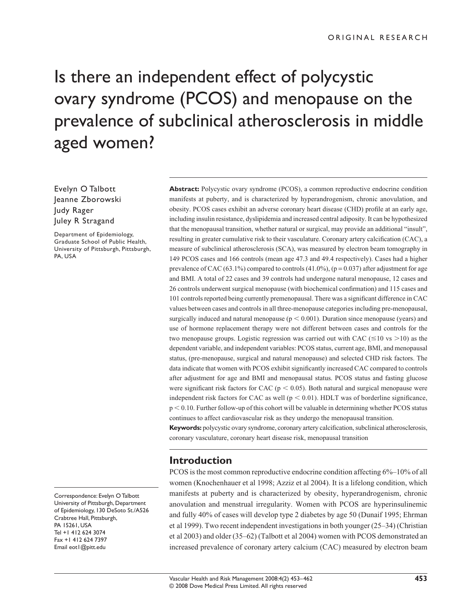# Is there an independent effect of polycystic ovary syndrome (PCOS) and menopause on the prevalence of subclinical atherosclerosis in middle aged women?

Evelyn O Talbott Jeanne Zborowski Judy Rager Juley R Stragand

Department of Epidemiology, Graduate School of Public Health, University of Pittsburgh, Pittsburgh, PA, USA

Correspondence: Evelyn O Talbott University of Pittsburgh, Department of Epidemiology, 130 DeSoto St./A526 Crabtree Hall, Pittsburgh, PA 15261, USA Tel +1 412 624 3074 Fax +1 412 624 7397 Email eot1@pitt.edu

**Abstract:** Polycystic ovary syndrome (PCOS), a common reproductive endocrine condition manifests at puberty, and is characterized by hyperandrogenism, chronic anovulation, and obesity. PCOS cases exhibit an adverse coronary heart disease (CHD) profile at an early age, including insulin resistance, dyslipidemia and increased central adiposity. It can be hypothesized that the menopausal transition, whether natural or surgical, may provide an additional "insult", resulting in greater cumulative risk to their vasculature. Coronary artery calcification (CAC), a measure of subclinical atherosclerosis (SCA), was measured by electron beam tomography in 149 PCOS cases and 166 controls (mean age 47.3 and 49.4 respectively). Cases had a higher prevalence of CAC (63.1%) compared to controls (41.0%), ( $p = 0.037$ ) after adjustment for age and BMI. A total of 22 cases and 39 controls had undergone natural menopause, 12 cases and 26 controls underwent surgical menopause (with biochemical confirmation) and 115 cases and 101 controls reported being currently premenopausal. There was a significant difference in CAC values between cases and controls in all three-menopause categories including pre-menopausal, surgically induced and natural menopause  $(p < 0.001)$ . Duration since menopause (years) and use of hormone replacement therapy were not different between cases and controls for the two menopause groups. Logistic regression was carried out with CAC ( $\leq 10$  vs  $> 10$ ) as the dependent variable, and independent variables: PCOS status, current age, BMI, and menopausal status, (pre-menopause, surgical and natural menopause) and selected CHD risk factors. The data indicate that women with PCOS exhibit significantly increased CAC compared to controls after adjustment for age and BMI and menopausal status. PCOS status and fasting glucose were significant risk factors for CAC ( $p < 0.05$ ). Both natural and surgical menopause were independent risk factors for CAC as well ( $p < 0.01$ ). HDLT was of borderline significance,  $p < 0.10$ . Further follow-up of this cohort will be valuable in determining whether PCOS status continues to affect cardiovascular risk as they undergo the menopausal transition.

**Keywords:** polycystic ovary syndrome, coronary artery calcification, subclinical atherosclerosis, coronary vasculature, coronary heart disease risk, menopausal transition

## **Introduction**

PCOS is the most common reproductive endocrine condition affecting 6%–10% of all women (Knochenhauer et al 1998; Azziz et al 2004). It is a lifelong condition, which manifests at puberty and is characterized by obesity, hyperandrogenism, chronic anovulation and menstrual irregularity. Women with PCOS are hyperinsulinemic and fully 40% of cases will develop type 2 diabetes by age 50 (Dunaif 1995; Ehrman et al 1999). Two recent independent investigations in both younger (25–34) (Christian et al 2003) and older (35–62) (Talbott et al 2004) women with PCOS demonstrated an increased prevalence of coronary artery calcium (CAC) measured by electron beam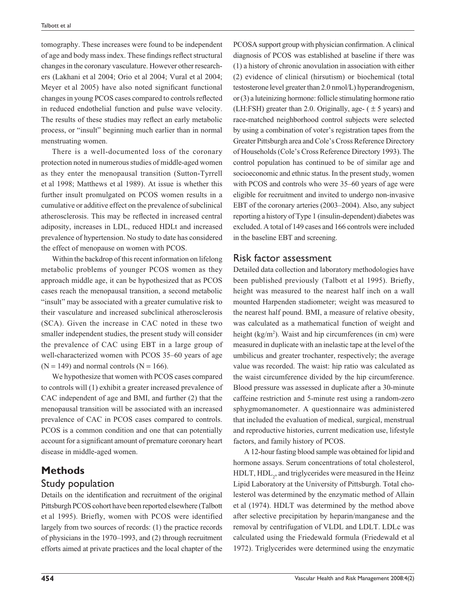tomography. These increases were found to be independent of age and body mass index. These findings reflect structural changes in the coronary vasculature. However other researchers (Lakhani et al 2004; Orio et al 2004; Vural et al 2004; Meyer et al 2005) have also noted significant functional changes in young PCOS cases compared to controls reflected in reduced endothelial function and pulse wave velocity. The results of these studies may reflect an early metabolic process, or "insult" beginning much earlier than in normal menstruating women.

There is a well-documented loss of the coronary protection noted in numerous studies of middle-aged women as they enter the menopausal transition (Sutton-Tyrrell et al 1998; Matthews et al 1989). At issue is whether this further insult promulgated on PCOS women results in a cumulative or additive effect on the prevalence of subclinical atherosclerosis. This may be reflected in increased central adiposity, increases in LDL, reduced HDLt and increased prevalence of hypertension. No study to date has considered the effect of menopause on women with PCOS.

Within the backdrop of this recent information on lifelong metabolic problems of younger PCOS women as they approach middle age, it can be hypothesized that as PCOS cases reach the menopausal transition, a second metabolic "insult" may be associated with a greater cumulative risk to their vasculature and increased subclinical atherosclerosis (SCA). Given the increase in CAC noted in these two smaller independent studies, the present study will consider the prevalence of CAC using EBT in a large group of well-characterized women with PCOS 35–60 years of age  $(N = 149)$  and normal controls  $(N = 166)$ .

We hypothesize that women with PCOS cases compared to controls will (1) exhibit a greater increased prevalence of CAC independent of age and BMI, and further (2) that the menopausal transition will be associated with an increased prevalence of CAC in PCOS cases compared to controls. PCOS is a common condition and one that can potentially account for a significant amount of premature coronary heart disease in middle-aged women.

## **Methods** Study population

Details on the identification and recruitment of the original Pittsburgh PCOS cohort have been reported elsewhere (Talbott et al 1995). Briefly, women with PCOS were identified largely from two sources of records: (1) the practice records of physicians in the 1970–1993, and (2) through recruitment efforts aimed at private practices and the local chapter of the PCOSA support group with physician confirmation. A clinical diagnosis of PCOS was established at baseline if there was (1) a history of chronic anovulation in association with either (2) evidence of clinical (hirsutism) or biochemical (total testosterone level greater than 2.0 nmol/L) hyperandrogenism, or (3) a luteinizing hormone: follicle stimulating hormone ratio (LH:FSH) greater than 2.0. Originally, age-  $(\pm 5 \text{ years})$  and race-matched neighborhood control subjects were selected by using a combination of voter's registration tapes from the Greater Pittsburgh area and Cole's Cross Reference Directory of Households (Cole's Cross Reference Directory 1993). The control population has continued to be of similar age and socioeconomic and ethnic status. In the present study, women with PCOS and controls who were 35–60 years of age were eligible for recruitment and invited to undergo non-invasive EBT of the coronary arteries (2003–2004). Also, any subject reporting a history of Type 1 (insulin-dependent) diabetes was excluded. A total of 149 cases and 166 controls were included in the baseline EBT and screening.

## Risk factor assessment

Detailed data collection and laboratory methodologies have been published previously (Talbott et al 1995). Briefly, height was measured to the nearest half inch on a wall mounted Harpenden stadiometer; weight was measured to the nearest half pound. BMI, a measure of relative obesity, was calculated as a mathematical function of weight and height (kg/m<sup>2</sup>). Waist and hip circumferences (in cm) were measured in duplicate with an inelastic tape at the level of the umbilicus and greater trochanter, respectively; the average value was recorded. The waist: hip ratio was calculated as the waist circumference divided by the hip circumference. Blood pressure was assessed in duplicate after a 30-minute caffeine restriction and 5-minute rest using a random-zero sphygmomanometer. A questionnaire was administered that included the evaluation of medical, surgical, menstrual and reproductive histories, current medication use, lifestyle factors, and family history of PCOS.

A 12-hour fasting blood sample was obtained for lipid and hormone assays. Serum concentrations of total cholesterol, HDLT, HDL<sub>2</sub>, and triglycerides were measured in the Heinz Lipid Laboratory at the University of Pittsburgh. Total cholesterol was determined by the enzymatic method of Allain et al (1974). HDLT was determined by the method above after selective precipitation by heparin/manganese and the removal by centrifugation of VLDL and LDLT. LDLc was calculated using the Friedewald formula (Friedewald et al 1972). Triglycerides were determined using the enzymatic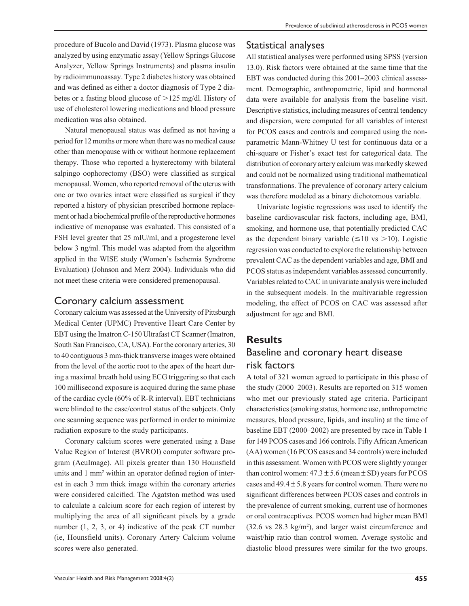procedure of Bucolo and David (1973). Plasma glucose was analyzed by using enzymatic assay (Yellow Springs Glucose Analyzer, Yellow Springs Instruments) and plasma insulin by radioimmunoassay. Type 2 diabetes history was obtained and was defined as either a doctor diagnosis of Type 2 diabetes or a fasting blood glucose of  $>125$  mg/dl. History of use of cholesterol lowering medications and blood pressure medication was also obtained.

Natural menopausal status was defined as not having a period for 12 months or more when there was no medical cause other than menopause with or without hormone replacement therapy. Those who reported a hysterectomy with bilateral salpingo oophorectomy (BSO) were classified as surgical menopausal. Women, who reported removal of the uterus with one or two ovaries intact were classified as surgical if they reported a history of physician prescribed hormone replacement or had a biochemical profile of the reproductive hormones indicative of menopause was evaluated. This consisted of a FSH level greater that 25 mIU/ml, and a progesterone level below 3 ng/ml. This model was adapted from the algorithm applied in the WISE study (Women's Ischemia Syndrome Evaluation) (Johnson and Merz 2004). Individuals who did not meet these criteria were considered premenopausal.

#### Coronary calcium assessment

Coronary calcium was assessed at the University of Pittsburgh Medical Center (UPMC) Preventive Heart Care Center by EBT using the Imatron C-150 Ultrafast CT Scanner (Imatron, South San Francisco, CA, USA). For the coronary arteries, 30 to 40 contiguous 3 mm-thick transverse images were obtained from the level of the aortic root to the apex of the heart during a maximal breath hold using ECG triggering so that each 100 millisecond exposure is acquired during the same phase of the cardiac cycle (60% of R-R interval). EBT technicians were blinded to the case/control status of the subjects. Only one scanning sequence was performed in order to minimize radiation exposure to the study participants.

Coronary calcium scores were generated using a Base Value Region of Interest (BVROI) computer software program (AcuImage). All pixels greater than 130 Hounsfield units and 1 mm<sup>2</sup> within an operator defined region of interest in each 3 mm thick image within the coronary arteries were considered calcified. The Agatston method was used to calculate a calcium score for each region of interest by multiplying the area of all significant pixels by a grade number (1, 2, 3, or 4) indicative of the peak CT number (ie, Hounsfield units). Coronary Artery Calcium volume scores were also generated.

## Statistical analyses

All statistical analyses were performed using SPSS (version 13.0). Risk factors were obtained at the same time that the EBT was conducted during this 2001–2003 clinical assessment. Demographic, anthropometric, lipid and hormonal data were available for analysis from the baseline visit. Descriptive statistics, including measures of central tendency and dispersion, were computed for all variables of interest for PCOS cases and controls and compared using the nonparametric Mann-Whitney U test for continuous data or a chi-square or Fisher's exact test for categorical data. The distribution of coronary artery calcium was markedly skewed and could not be normalized using traditional mathematical transformations. The prevalence of coronary artery calcium was therefore modeled as a binary dichotomous variable.

Univariate logistic regressions was used to identify the baseline cardiovascular risk factors, including age, BMI, smoking, and hormone use, that potentially predicted CAC as the dependent binary variable ( $\leq 10$  vs  $> 10$ ). Logistic regression was conducted to explore the relationship between prevalent CAC as the dependent variables and age, BMI and PCOS status as independent variables assessed concurrently. Variables related to CAC in univariate analysis were included in the subsequent models. In the multivariable regression modeling, the effect of PCOS on CAC was assessed after adjustment for age and BMI.

## **Results** Baseline and coronary heart disease risk factors

A total of 321 women agreed to participate in this phase of the study (2000–2003). Results are reported on 315 women who met our previously stated age criteria. Participant characteristics (smoking status, hormone use, anthropometric measures, blood pressure, lipids, and insulin) at the time of baseline EBT (2000–2002) are presented by race in Table 1 for 149 PCOS cases and 166 controls. Fifty African American (AA) women (16 PCOS cases and 34 controls) were included in this assessment. Women with PCOS were slightly younger than control women:  $47.3 \pm 5.6$  (mean  $\pm$  SD) years for PCOS cases and  $49.4 \pm 5.8$  years for control women. There were no significant differences between PCOS cases and controls in the prevalence of current smoking, current use of hormones or oral contraceptives. PCOS women had higher mean BMI  $(32.6 \text{ vs } 28.3 \text{ kg/m}^2)$ , and larger waist circumference and waist/hip ratio than control women. Average systolic and diastolic blood pressures were similar for the two groups.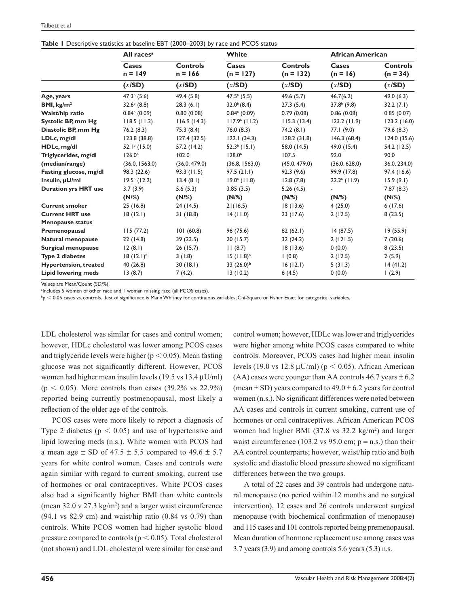|  |  |  |  | Table I Descriptive statistics at baseline EBT (2000-2003) by race and PCOS status |  |
|--|--|--|--|------------------------------------------------------------------------------------|--|
|  |  |  |  |                                                                                    |  |

|                              | All races <sup>a</sup>    |                              | White                 |                                |                     | <b>African American</b>       |  |
|------------------------------|---------------------------|------------------------------|-----------------------|--------------------------------|---------------------|-------------------------------|--|
|                              | Cases<br>$n = 149$        | <b>Controls</b><br>$n = 166$ | Cases<br>$(n = 127)$  | <b>Controls</b><br>$(n = 132)$ | Cases<br>$(n = 16)$ | <b>Controls</b><br>$(n = 34)$ |  |
|                              | $(\bar{x}/SD)$            | $(\bar{x}/SD)$               | $(\bar{x}/SD)$        | $(\bar{x}/SD)$                 | $(\bar{x}/SD)$      | $(\bar{x}/SD)$                |  |
| Age, years                   | 47.3 $^{b}$ (5.6)         | 49.4 (5.8)                   | 47.5 $^{b}$ (5.5)     | 49.6 (5.7)                     | 46.7(6.2)           | 49.0 (6.3)                    |  |
| BMI, $\text{kg/m}^2$         | $32.6b$ (8.8)             | 28.3(6.1)                    | $32.0^{b}$ (8.4)      | 27.3(5.4)                      | $37.8b$ (9.8)       | 32.2(7.1)                     |  |
| Waist/hip ratio              | $0.84b$ (0.09)            | 0.80(0.08)                   | $0.84^{\circ}$ (0.09) | 0.79(0.08)                     | 0.86(0.08)          | 0.85(0.07)                    |  |
| Systolic BP, mm Hg           | 118.5(11.2)               | 116.9(14.3)                  | $117.9b$ (11.2)       | 115.3(13.4)                    | 123.2(11.9)         | 123.2(16.0)                   |  |
| Diastolic BP, mm Hg          | 76.2(8.3)                 | 75.3 (8.4)                   | 76.0(8.3)             | 74.2(8.1)                      | 77.1(9.0)           | 79.6 (8.3)                    |  |
| LDLc, mg/dl                  | 123.8(38.8)               | 127.4(32.5)                  | 122.1(34.3)           | 128.2(31.8)                    | 146.3(68.4)         | 124.0(35.6)                   |  |
| HDLc, mg/dl                  | 52.1 $\frac{1}{2}$ (15.0) | 57.2 (14.2)                  | $52.3b$ (15.1)        | 58.0 (14.5)                    | 49.0 (15.4)         | 54.2 (12.5)                   |  |
| Triglycerides, mg/dl         | 126.0 <sup>b</sup>        | 102.0                        | 128.0 <sup>b</sup>    | 107.5                          | 92.0                | 90.0                          |  |
| (median/range)               | (36.0, 1563.0)            | (36.0, 479.0)                | (36.8, 1563.0)        | (45.0, 479.0)                  | (36.0, 628.0)       | 36.0, 234.0)                  |  |
| Fasting glucose, mg/dl       | 98.3 (22.6)               | 93.3(11.5)                   | 97.5(21.1)            | 92.3(9.6)                      | 99.9 (17.8)         | 97.4 (16.6)                   |  |
| Insulin, µU/ml               | $19.5b$ (12.2)            | 13.4(8.1)                    | $19.0^{\circ}$ (11.8) | 12.8(7.8)                      | $22.2^b$ (11.9)     | 15.9(9.1)                     |  |
| <b>Duration yrs HRT use</b>  | 3.7(3.9)                  | 5.6(5.3)                     | 3.85(3.5)             | 5.26(4.5)                      |                     | 7.87(8.3)                     |  |
|                              | $(N\frac{1}{2})$          | $(N\frac{1}{6})$             | $(N\frac{1}{2})$      | $(N\frac{1}{2})$               | $(N\frac{1}{6})$    | $(N\frac{1}{6})$              |  |
| <b>Current smoker</b>        | 25(16.8)                  | 24 (14.5)                    | 21(16.5)              | 18(13.6)                       | 4(25.0)             | 6(17.6)                       |  |
| <b>Current HRT use</b>       | 18(12.1)                  | 31(18.8)                     | 14(11.0)              | 23 (17.6)                      | 2(12.5)             | 8(23.5)                       |  |
| <b>Menopause status</b>      |                           |                              |                       |                                |                     |                               |  |
| Premenopausal                | 115(77.2)                 | 101(60.8)                    | 96 (75.6)             | 82(62.1)                       | 14(87.5)            | 19(55.9)                      |  |
| <b>Natural menopause</b>     | 22(14.8)                  | 39 (23.5)                    | 20(15.7)              | 32 (24.2)                      | 2(121.5)            | 7(20.6)                       |  |
| Surgical menopause           | 12(8.1)                   | 26(15.7)                     | 11(8.7)               | 18(13.6)                       | 0(0.0)              | 8(23.5)                       |  |
| <b>Type 2 diabetes</b>       | $18 (12.1)^{b}$           | 3(1.8)                       | $15 (11.8)^{b}$       | (0.8)                          | 2(12.5)             | 2(5.9)                        |  |
| <b>Hypertension, treated</b> | 40 (26.8)                 | 30(18.1)                     | 33 $(26.0)^b$         | 16(12.1)                       | 5(31.3)             | 14(41.2)                      |  |
| <b>Lipid lowering meds</b>   | 13(8.7)                   | 7(4.2)                       | 13(10.2)              | 6(4.5)                         | 0(0.0)              | 1(2.9)                        |  |

Values are Mean/Count (SD/%).

alncludes 5 women of other race and 1 woman missing race (all PCOS cases).

 $^{\rm b}$   $<$  0.05 cases vs. controls. Test of significance is Mann Whitney for continuous variables; Chi-Square or Fisher Exact for categorical variables.

LDL cholesterol was similar for cases and control women; however, HDLc cholesterol was lower among PCOS cases and triglyceride levels were higher ( $p < 0.05$ ). Mean fasting glucose was not significantly different. However, PCOS women had higher mean insulin levels (19.5 vs 13.4  $\mu$ U/ml)  $(p < 0.05)$ . More controls than cases (39.2% vs 22.9%) reported being currently postmenopausal, most likely a reflection of the older age of the controls.

PCOS cases were more likely to report a diagnosis of Type 2 diabetes ( $p < 0.05$ ) and use of hypertensive and lipid lowering meds (n.s.). White women with PCOS had a mean age  $\pm$  SD of 47.5  $\pm$  5.5 compared to 49.6  $\pm$  5.7 years for white control women. Cases and controls were again similar with regard to current smoking, current use of hormones or oral contraceptives. White PCOS cases also had a significantly higher BMI than white controls (mean  $32.0 \text{ v } 27.3 \text{ kg/m}^2$ ) and a larger waist circumference (94.1 vs 82.9 cm) and waist/hip ratio (0.84 vs 0.79) than controls. White PCOS women had higher systolic blood pressure compared to controls ( $p < 0.05$ ). Total cholesterol (not shown) and LDL cholesterol were similar for case and

control women; however, HDLc was lower and triglycerides were higher among white PCOS cases compared to white controls. Moreover, PCOS cases had higher mean insulin levels (19.0 vs 12.8  $\mu$ U/ml) (p < 0.05). African American (AA) cases were younger than AA controls  $46.7$  years  $\pm 6.2$ (mean  $\pm$  SD) years compared to 49.0  $\pm$  6.2 years for control women (n.s.). No significant differences were noted between AA cases and controls in current smoking, current use of hormones or oral contraceptives. African American PCOS women had higher BMI  $(37.8 \text{ vs } 32.2 \text{ kg/m}^2)$  and larger waist circumference (103.2 vs 95.0 cm;  $p = n.s$ .) than their AA control counterparts; however, waist/hip ratio and both systolic and diastolic blood pressure showed no significant differences between the two groups.

A total of 22 cases and 39 controls had undergone natural menopause (no period within 12 months and no surgical intervention), 12 cases and 26 controls underwent surgical menopause (with biochemical confirmation of menopause) and 115 cases and 101 controls reported being premenopausal. Mean duration of hormone replacement use among cases was 3.7 years (3.9) and among controls 5.6 years (5.3) n.s.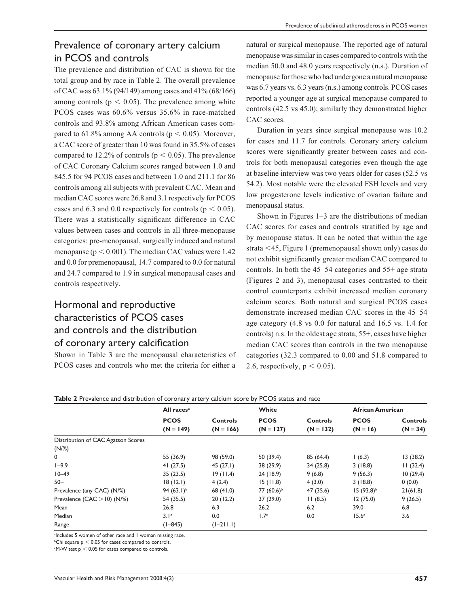# Prevalence of coronary artery calcium in PCOS and controls

The prevalence and distribution of CAC is shown for the total group and by race in Table 2. The overall prevalence of CAC was 63.1% (94/149) among cases and 41% (68/166) among controls ( $p < 0.05$ ). The prevalence among white PCOS cases was 60.6% versus 35.6% in race-matched controls and 93.8% among African American cases compared to 61.8% among AA controls ( $p < 0.05$ ). Moreover, a CAC score of greater than 10 was found in 35.5% of cases compared to 12.2% of controls ( $p < 0.05$ ). The prevalence of CAC Coronary Calcium scores ranged between 1.0 and 845.5 for 94 PCOS cases and between 1.0 and 211.1 for 86 controls among all subjects with prevalent CAC. Mean and median CAC scores were 26.8 and 3.1 respectively for PCOS cases and 6.3 and 0.0 respectively for controls ( $p < 0.05$ ). There was a statistically significant difference in CAC values between cases and controls in all three-menopause categories: pre-menopausal, surgically induced and natural menopause ( $p < 0.001$ ). The median CAC values were 1.42 and 0.0 for premenopausal, 14.7 compared to 0.0 for natural and 24.7 compared to 1.9 in surgical menopausal cases and controls respectively.

# Hormonal and reproductive characteristics of PCOS cases and controls and the distribution of coronary artery calcification

Shown in Table 3 are the menopausal characteristics of PCOS cases and controls who met the criteria for either a

natural or surgical menopause. The reported age of natural menopause was similar in cases compared to controls with the median 50.0 and 48.0 years respectively (n.s.). Duration of menopause for those who had undergone a natural menopause was 6.7 years vs. 6.3 years (n.s.) among controls. PCOS cases reported a younger age at surgical menopause compared to controls (42.5 vs 45.0); similarly they demonstrated higher CAC scores.

Duration in years since surgical menopause was 10.2 for cases and 11.7 for controls. Coronary artery calcium scores were significantly greater between cases and controls for both menopausal categories even though the age at baseline interview was two years older for cases (52.5 vs 54.2). Most notable were the elevated FSH levels and very low progesterone levels indicative of ovarian failure and menopausal status.

Shown in Figures 1–3 are the distributions of median CAC scores for cases and controls stratified by age and by menopause status. It can be noted that within the age strata 45, Figure 1 (premenopausal shown only) cases do not exhibit significantly greater median CAC compared to controls. In both the 45–54 categories and 55+ age strata (Figures 2 and 3), menopausal cases contrasted to their control counterparts exhibit increased median coronary calcium scores. Both natural and surgical PCOS cases demonstrate increased median CAC scores in the 45–54 age category (4.8 vs 0.0 for natural and 16.5 vs. 1.4 for controls) n.s. In the oldest age strata, 55+, cases have higher median CAC scores than controls in the two menopause categories (32.3 compared to 0.00 and 51.8 compared to 2.6, respectively,  $p < 0.05$ ).

|                                          | All races <sup>a</sup> |                 |                        |                 | <b>African American</b> |                 |
|------------------------------------------|------------------------|-----------------|------------------------|-----------------|-------------------------|-----------------|
|                                          | <b>PCOS</b>            | <b>Controls</b> | <b>PCOS</b>            | <b>Controls</b> | <b>PCOS</b>             | <b>Controls</b> |
|                                          | $(N = 149)$            | $(N = 166)$     | $(N = 127)$            | $(N = 132)$     | $(N = 16)$              | $(N = 34)$      |
| Distribution of CAC Agatson Scores       |                        |                 |                        |                 |                         |                 |
| $(N\frac{9}{6})$                         |                        |                 |                        |                 |                         |                 |
| 0                                        | 55 (36.9)              | 98 (59.0)       | 50 (39.4)              | 85 (64.4)       | 1(6.3)                  | 13(38.2)        |
| $1 - 9.9$                                | 41(27.5)               | 45 $(27.1)$     | 38 (29.9)              | 34(25.8)        | 3(18.8)                 | 11(32.4)        |
| $10 - 49$                                | 35(23.5)               | 19(11.4)        | 24(18.9)               | 9(6.8)          | 9(56.3)                 | 10(29.4)        |
| $50+$                                    | 18(12.1)               | 4(2.4)          | 15(11.8)               | 4(3.0)          | 3(18.8)                 | 0(0.0)          |
| Prevalence (any CAC) (N/%)               | 94 $(63.1)^b$          | 68(41.0)        | 77 (60.6) <sup>b</sup> | 47 (35.6)       | $15(93.8)^{b}$          | 21(61.8)        |
| Prevalence $(CAC > 10)$ $(N\frac{1}{6})$ | 54 (35.5)              | 20(12.2)        | 37 (29.0)              | 11(8.5)         | 12(75.0)                | 9(26.5)         |
| Mean                                     | 26.8                   | 6.3             | 26.2                   | 6.2             | 39.0                    | 6.8             |
| Median                                   | 3.1 <sup>c</sup>       | 0.0             | 1.7 <sup>c</sup>       | 0.0             | 15.6 <sup>c</sup>       | 3.6             |
| Range                                    | $(1 - 845)$            | $(1-211.1)$     |                        |                 |                         |                 |

**Table 2** Prevalence and distribution of coronary artery calcium score by PCOS status and race

alncludes 5 women of other race and 1 woman missing race.

 $b$ Chi square p  $<$  0.05 for cases compared to controls.

 $-M-W$  test  $p < 0.05$  for cases compared to controls.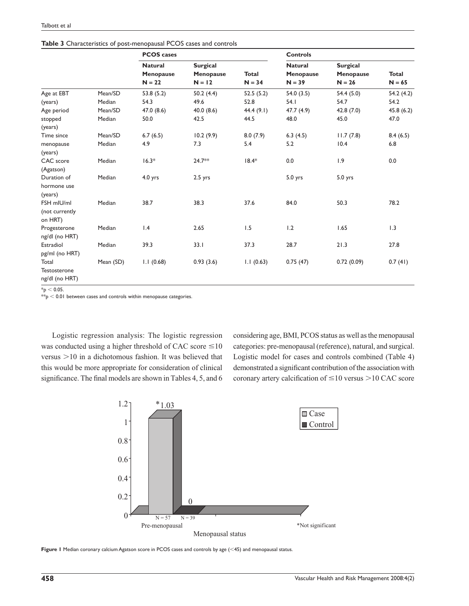|                                         |           | <b>PCOS</b> cases                       |                                          |                          | <b>Controls</b>                         |                                                 |                          |
|-----------------------------------------|-----------|-----------------------------------------|------------------------------------------|--------------------------|-----------------------------------------|-------------------------------------------------|--------------------------|
|                                         |           | <b>Natural</b><br>Menopause<br>$N = 22$ | <b>Surgical</b><br>Menopause<br>$N = 12$ | <b>Total</b><br>$N = 34$ | <b>Natural</b><br>Menopause<br>$N = 39$ | <b>Surgical</b><br><b>Menopause</b><br>$N = 26$ | <b>Total</b><br>$N = 65$ |
| Age at EBT                              | Mean/SD   | 53.8 (5.2)                              | 50.2 $(4.4)$                             | 52.5(5.2)                | 54.0 (3.5)                              | 54.4 (5.0)                                      | 54.2 (4.2)               |
| (years)                                 | Median    | 54.3                                    | 49.6                                     | 52.8                     | 54.1                                    | 54.7                                            | 54.2                     |
| Age period                              | Mean/SD   | 47.0 (8.6)                              | 40.0(8.6)                                | 44.4 (9.1)               | 47.7 (4.9)                              | 42.8 (7.0)                                      | 45.8 (6.2)               |
| stopped<br>(years)                      | Median    | 50.0                                    | 42.5                                     | 44.5                     | 48.0                                    | 45.0                                            | 47.0                     |
| Time since                              | Mean/SD   | 6.7(6.5)                                | 10.2(9.9)                                | 8.0(7.9)                 | 6.3(4.5)                                | 11.7(7.8)                                       | 8.4(6.5)                 |
| menopause<br>(years)                    | Median    | 4.9                                     | 7.3                                      | 5.4                      | 5.2                                     | 10.4                                            | 6.8                      |
| CAC score<br>(Agatson)                  | Median    | $16.3*$                                 | 24.7**                                   | $18.4*$                  | 0.0                                     | 1.9                                             | 0.0                      |
| Duration of<br>hormone use<br>(years)   | Median    | $4.0$ yrs                               | $2.5$ yrs                                |                          | $5.0$ yrs                               | $5.0$ yrs                                       |                          |
| FSH mIU/ml<br>(not currently<br>on HRT) | Median    | 38.7                                    | 38.3                                     | 37.6                     | 84.0                                    | 50.3                                            | 78.2                     |
| Progesterone<br>ng/dl (no HRT)          | Median    | 1.4                                     | 2.65                                     | 1.5                      | 1.2                                     | 1.65                                            | 1.3                      |
| Estradiol<br>pg/ml (no HRT)             | Median    | 39.3                                    | 33.1                                     | 37.3                     | 28.7                                    | 21.3                                            | 27.8                     |
| Total<br>Testosterone<br>ng/dl (no HRT) | Mean (SD) | 1.1(0.68)                               | 0.93(3.6)                                | 1.1(0.63)                | 0.75(47)                                | 0.72(0.09)                                      | 0.7(41)                  |

 $*_{p}$  < 0.05.

 $*$  $p$  < 0.01 between cases and controls within menopause categories.

Logistic regression analysis: The logistic regression was conducted using a higher threshold of CAC score  $\leq 10$ versus  $>$ 10 in a dichotomous fashion. It was believed that this would be more appropriate for consideration of clinical significance. The final models are shown in Tables 4, 5, and 6

considering age, BMI, PCOS status as well as the menopausal categories: pre-menopausal (reference), natural, and surgical. Logistic model for cases and controls combined (Table 4) demonstrated a significant contribution of the association with coronary artery calcification of  $\leq 10$  versus  $> 10$  CAC score



Figure 1 Median coronary calcium Agatson score in PCOS cases and controls by age (<45) and menopausal status.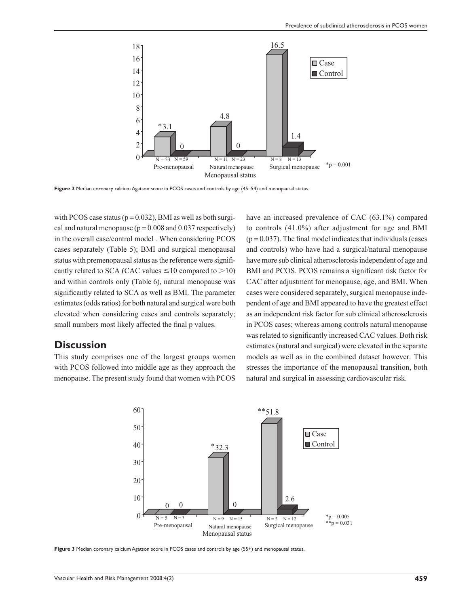

**Figure 2** Median coronary calcium Agatson score in PCOS cases and controls by age (45–54) and menopausal status.

with PCOS case status ( $p = 0.032$ ), BMI as well as both surgical and natural menopause ( $p = 0.008$  and 0.037 respectively) in the overall case/control model . When considering PCOS cases separately (Table 5); BMI and surgical menopausal status with premenopausal status as the reference were significantly related to SCA (CAC values  $\leq 10$  compared to  $> 10$ ) and within controls only (Table 6), natural menopause was significantly related to SCA as well as BMI. The parameter estimates (odds ratios) for both natural and surgical were both elevated when considering cases and controls separately; small numbers most likely affected the final p values.

#### **Discussion**

This study comprises one of the largest groups women with PCOS followed into middle age as they approach the menopause. The present study found that women with PCOS have an increased prevalence of CAC (63.1%) compared to controls (41.0%) after adjustment for age and BMI  $(p = 0.037)$ . The final model indicates that individuals (cases and controls) who have had a surgical/natural menopause have more sub clinical atherosclerosis independent of age and BMI and PCOS. PCOS remains a significant risk factor for CAC after adjustment for menopause, age, and BMI. When cases were considered separately, surgical menopause independent of age and BMI appeared to have the greatest effect as an independent risk factor for sub clinical atherosclerosis in PCOS cases; whereas among controls natural menopause was related to significantly increased CAC values. Both risk estimates (natural and surgical) were elevated in the separate models as well as in the combined dataset however. This stresses the importance of the menopausal transition, both natural and surgical in assessing cardiovascular risk.



**Figure 3** Median coronary calcium Agatson score in PCOS cases and controls by age (55+) and menopausal status.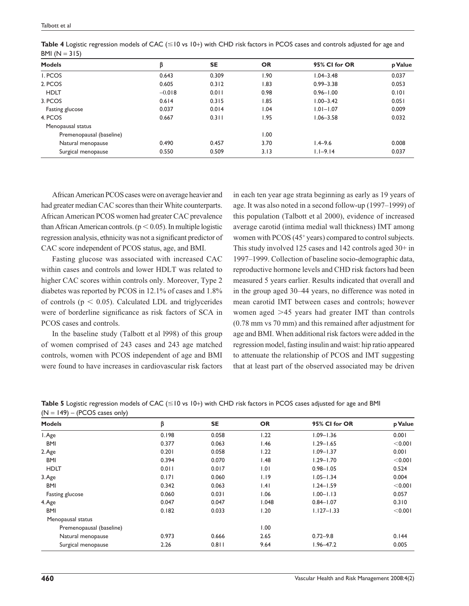| <b>Models</b>            | β        | <b>SE</b> | <b>OR</b> | 95% CI for OR | p Value |
|--------------------------|----------|-----------|-----------|---------------|---------|
| I. PCOS                  | 0.643    | 0.309     | 1.90      | $1.04 - 3.48$ | 0.037   |
| 2. PCOS                  | 0.605    | 0.312     | 1.83      | $0.99 - 3.38$ | 0.053   |
| <b>HDLT</b>              | $-0.018$ | 0.011     | 0.98      | $0.96 - 1.00$ | 0.101   |
| 3. PCOS                  | 0.614    | 0.315     | 1.85      | $1.00 - 3.42$ | 0.051   |
| Fasting glucose          | 0.037    | 0.014     | 1.04      | $1.01 - 1.07$ | 0.009   |
| 4. PCOS                  | 0.667    | 0.311     | 1.95      | $1.06 - 3.58$ | 0.032   |
| Menopausal status        |          |           |           |               |         |
| Premenopausal (baseline) |          |           | 0.00      |               |         |
| Natural menopause        | 0.490    | 0.457     | 3.70      | $1.4 - 9.6$   | 0.008   |
| Surgical menopause       | 0.550    | 0.509     | 3.13      | $1.1 - 9.14$  | 0.037   |

**Table 4** Logistic regression models of CAC ( $\leq$ 10 vs 10+) with CHD risk factors in PCOS cases and controls adjusted for age and BMI  $(N = 315)$ 

African American PCOS cases were on average heavier and had greater median CAC scores than their White counterparts. African American PCOS women had greater CAC prevalence than African American controls. ( $p < 0.05$ ). In multiple logistic regression analysis, ethnicity was not a significant predictor of CAC score independent of PCOS status, age, and BMI.

Fasting glucose was associated with increased CAC within cases and controls and lower HDLT was related to higher CAC scores within controls only. Moreover, Type 2 diabetes was reported by PCOS in 12.1% of cases and 1.8% of controls ( $p < 0.05$ ). Calculated LDL and triglycerides were of borderline significance as risk factors of SCA in PCOS cases and controls.

In the baseline study (Talbott et al l998) of this group of women comprised of 243 cases and 243 age matched controls, women with PCOS independent of age and BMI were found to have increases in cardiovascular risk factors in each ten year age strata beginning as early as 19 years of age. It was also noted in a second follow-up (1997–1999) of this population (Talbott et al 2000), evidence of increased average carotid (intima medial wall thickness) IMT among women with PCOS (45<sup>+</sup> years) compared to control subjects. This study involved 125 cases and 142 controls aged 30+ in 1997–1999. Collection of baseline socio-demographic data, reproductive hormone levels and CHD risk factors had been measured 5 years earlier. Results indicated that overall and in the group aged 30–44 years, no difference was noted in mean carotid IMT between cases and controls; however women aged  $>45$  years had greater IMT than controls (0.78 mm vs 70 mm) and this remained after adjustment for age and BMI. When additional risk factors were added in the regression model, fasting insulin and waist: hip ratio appeared to attenuate the relationship of PCOS and IMT suggesting that at least part of the observed associated may be driven

|                                 | <b>Table 5</b> Logistic regression models of CAC ( $\leq$ 10 vs 10+) with CHD risk factors in PCOS cases adjusted for age and BMI |
|---------------------------------|-----------------------------------------------------------------------------------------------------------------------------------|
| $(N = 149) - (PCOS cases only)$ |                                                                                                                                   |

| <b>Models</b>            | β     | <b>SE</b> | <b>OR</b> | 95% CI for OR  | p Value |
|--------------------------|-------|-----------|-----------|----------------|---------|
| I.Age                    | 0.198 | 0.058     | 1.22      | l.09–1.36      | 0.001   |
| <b>BMI</b>               | 0.377 | 0.063     | 1.46      | $1.29 - 1.65$  | < 0.001 |
| 2. Age                   | 0.201 | 0.058     | 1.22      | $1.09 - 1.37$  | 0.001   |
| <b>BMI</b>               | 0.394 | 0.070     | 1.48      | 1.29-1.70      | < 0.001 |
| <b>HDLT</b>              | 0.011 | 0.017     | 1.01      | $0.98 - 1.05$  | 0.524   |
| 3. Age                   | 0.171 | 0.060     | 1.19      | $1.05 - 1.34$  | 0.004   |
| <b>BMI</b>               | 0.342 | 0.063     | .4        | $1.24 - 1.59$  | < 0.001 |
| Fasting glucose          | 0.060 | 0.031     | 1.06      | $1.00 - 1.13$  | 0.057   |
| 4. Age                   | 0.047 | 0.047     | 1.048     | $0.84 - 1.07$  | 0.310   |
| <b>BMI</b>               | 0.182 | 0.033     | 1.20      | $1.127 - 1.33$ | < 0.001 |
| Menopausal status        |       |           |           |                |         |
| Premenopausal (baseline) |       |           | 1.00      |                |         |
| Natural menopause        | 0.973 | 0.666     | 2.65      | $0.72 - 9.8$   | 0.144   |
| Surgical menopause       | 2.26  | 0.811     | 9.64      | .96–47.2       | 0.005   |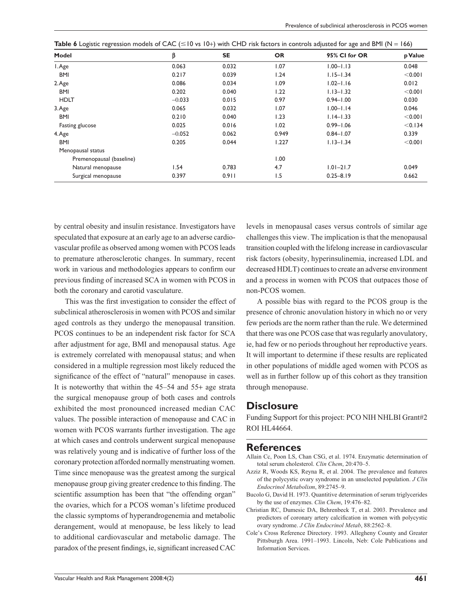| .<br>۰.                  |          |           |           | ີ⊂            | $\sim$    |
|--------------------------|----------|-----------|-----------|---------------|-----------|
| Model                    | β        | <b>SE</b> | <b>OR</b> | 95% CI for OR | p Value   |
| I.Age                    | 0.063    | 0.032     | 1.07      | $1.00 - 1.13$ | 0.048     |
| <b>BMI</b>               | 0.217    | 0.039     | 1.24      | $1.15 - 1.34$ | $<$ 0.001 |
| 2. Age                   | 0.086    | 0.034     | 1.09      | $1.02 - 1.16$ | 0.012     |
| <b>BMI</b>               | 0.202    | 0.040     | 1.22      | $1.13 - 1.32$ | $<$ 0.001 |
| <b>HDLT</b>              | $-0.033$ | 0.015     | 0.97      | $0.94 - 1.00$ | 0.030     |
| 3.Age                    | 0.065    | 0.032     | 1.07      | $1.00 - 1.14$ | 0.046     |
| <b>BMI</b>               | 0.210    | 0.040     | 1.23      | $1.14 - 1.33$ | < 0.001   |
| Fasting glucose          | 0.025    | 0.016     | 1.02      | $0.99 - 1.06$ | < 0.134   |
| 4. Age                   | $-0.052$ | 0.062     | 0.949     | $0.84 - 1.07$ | 0.339     |
| <b>BMI</b>               | 0.205    | 0.044     | 1.227     | $1.13 - 1.34$ | < 0.001   |
| Menopausal status        |          |           |           |               |           |
| Premenopausal (baseline) |          |           | 1.00      |               |           |
| Natural menopause        | 1.54     | 0.783     | 4.7       | $1.01 - 21.7$ | 0.049     |
| Surgical menopause       | 0.397    | 0.911     | 1.5       | $0.25 - 8.19$ | 0.662     |
|                          |          |           |           |               |           |

|  |  | Table 6 Logistic regression models of CAC ( $\leq$ 10 vs 10+) with CHD risk factors in controls adjusted for age and BMI (N = 166) |
|--|--|------------------------------------------------------------------------------------------------------------------------------------|
|--|--|------------------------------------------------------------------------------------------------------------------------------------|

by central obesity and insulin resistance. Investigators have speculated that exposure at an early age to an adverse cardiovascular profile as observed among women with PCOS leads to premature atherosclerotic changes. In summary, recent work in various and methodologies appears to confirm our previous finding of increased SCA in women with PCOS in both the coronary and carotid vasculature.

This was the first investigation to consider the effect of subclinical atherosclerosis in women with PCOS and similar aged controls as they undergo the menopausal transition. PCOS continues to be an independent risk factor for SCA after adjustment for age, BMI and menopausal status. Age is extremely correlated with menopausal status; and when considered in a multiple regression most likely reduced the significance of the effect of "natural" menopause in cases. It is noteworthy that within the 45–54 and 55+ age strata the surgical menopause group of both cases and controls exhibited the most pronounced increased median CAC values. The possible interaction of menopause and CAC in women with PCOS warrants further investigation. The age at which cases and controls underwent surgical menopause was relatively young and is indicative of further loss of the coronary protection afforded normally menstruating women. Time since menopause was the greatest among the surgical menopause group giving greater credence to this finding. The scientific assumption has been that "the offending organ" the ovaries, which for a PCOS woman's lifetime produced the classic symptoms of hyperandrogenemia and metabolic derangement, would at menopause, be less likely to lead to additional cardiovascular and metabolic damage. The paradox of the present findings, ie, significant increased CAC

levels in menopausal cases versus controls of similar age challenges this view. The implication is that the menopausal transition coupled with the lifelong increase in cardiovascular risk factors (obesity, hyperinsulinemia, increased LDL and decreased HDLT) continues to create an adverse environment and a process in women with PCOS that outpaces those of non-PCOS women.

A possible bias with regard to the PCOS group is the presence of chronic anovulation history in which no or very few periods are the norm rather than the rule. We determined that there was one PCOS case that was regularly anovulatory, ie, had few or no periods throughout her reproductive years. It will important to determine if these results are replicated in other populations of middle aged women with PCOS as well as in further follow up of this cohort as they transition through menopause.

#### **Disclosure**

Funding Support for this project: PCO NIH NHLBI Grant#2 ROI HL44664.

#### **References**

- Allain Cc, Poon LS, Chan CSG, et al. 1974. Enzymatic determination of total serum cholesterol. *Clin Chem*, 20:470–5.
- Azziz R, Woods KS, Reyna R, et al. 2004. The prevalence and features of the polycystic ovary syndrome in an unselected population. *J Clin Endocrinol Metabolism*, 89:2745–9.
- Bucolo G, David H. 1973. Quantitive determination of serum triglycerides by the use of enzymes. *Clin Chem*, 19:476–82.
- Christian RC, Dumesic DA, Behrenbeck T, et al. 2003. Prevalence and predictors of coronary artery calcification in women with polycystic ovary syndrome. *J Clin Endocrinol Metab*, 88:2562–8.
- Cole's Cross Reference Directory. 1993. Allegheny County and Greater Pittsburgh Area. 1991–1993. Lincoln, Neb: Cole Publications and Information Services.